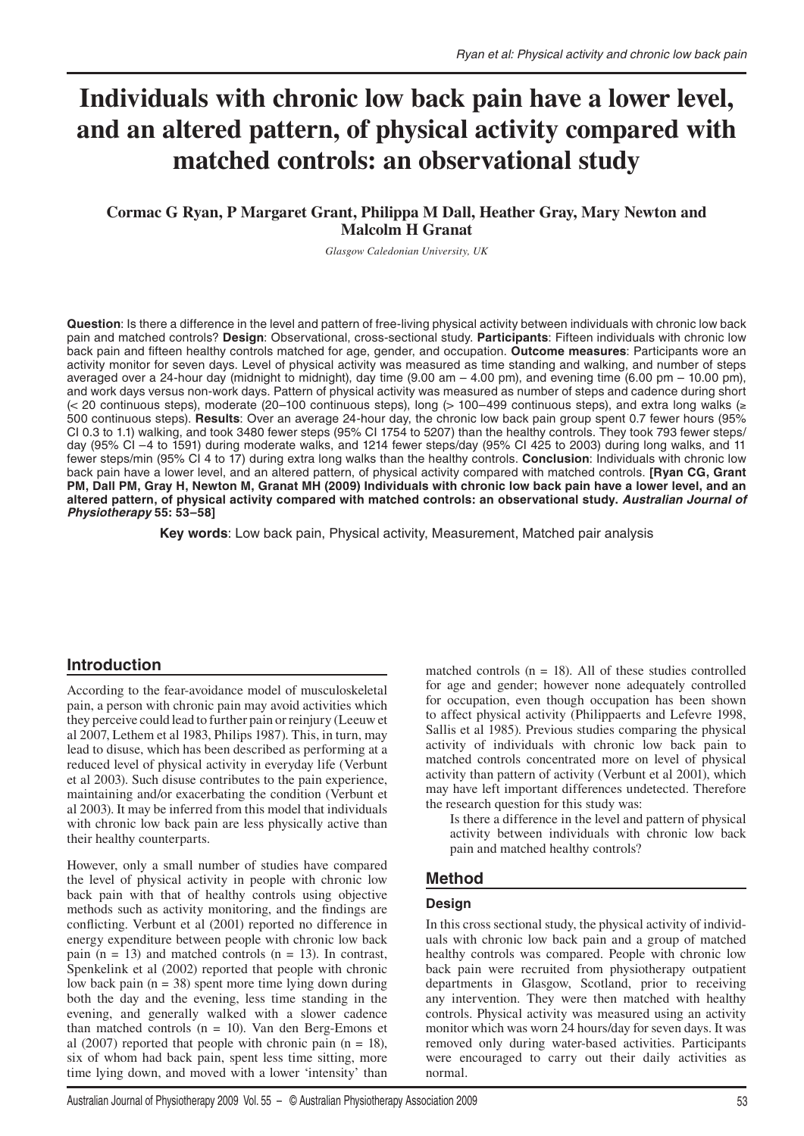# **Individuals with chronic low back pain have a lower level, and an altered pattern, of physical activity compared with matched controls: an observational study**

## **Cormac G Ryan, P Margaret Grant, Philippa M Dall, Heather Gray, Mary Newton and Malcolm H Granat**

*Glasgow Caledonian University, UK*

**Question**: Is there a difference in the level and pattern of free-living physical activity between individuals with chronic low back pain and matched controls? **Design**: Observational, cross-sectional study. **Participants**: Fifteen individuals with chronic low back pain and fifteen healthy controls matched for age, gender, and occupation. **Outcome measures**: Participants wore an activity monitor for seven days. Level of physical activity was measured as time standing and walking, and number of steps averaged over a 24-hour day (midnight to midnight), day time (9.00 am – 4.00 pm), and evening time (6.00 pm – 10.00 pm), and work days versus non-work days. Pattern of physical activity was measured as number of steps and cadence during short (< 20 continuous steps), moderate (20–100 continuous steps), long (> 100–499 continuous steps), and extra long walks (≥ 500 continuous steps). **Results**: Over an average 24-hour day, the chronic low back pain group spent 0.7 fewer hours (95% CI 0.3 to 1.1) walking, and took 3480 fewer steps (95% CI 1754 to 5207) than the healthy controls. They took 793 fewer steps/ day (95% CI –4 to 1591) during moderate walks, and 1214 fewer steps/day (95% CI 425 to 2003) during long walks, and 11 fewer steps/min (95% CI 4 to 17) during extra long walks than the healthy controls. **Conclusion**: Individuals with chronic low back pain have a lower level, and an altered pattern, of physical activity compared with matched controls. **[Ryan CG, Grant PM, Dall PM, Gray H, Newton M, Granat MH (2009) Individuals with chronic low back pain have a lower level, and an altered pattern, of physical activity compared with matched controls: an observational study.** *Australian Journal of Physiotherapy* **55: 53–58]**

**Key words**: Low back pain, Physical activity, Measurement, Matched pair analysis

#### **Introduction**

According to the fear-avoidance model of musculoskeletal pain, a person with chronic pain may avoid activities which they perceive could lead to further pain or reinjury (Leeuw et al 2007, Lethem et al 1983, Philips 1987). This, in turn, may lead to disuse, which has been described as performing at a reduced level of physical activity in everyday life (Verbunt et al 2003). Such disuse contributes to the pain experience, maintaining and/or exacerbating the condition (Verbunt et al 2003). It may be inferred from this model that individuals with chronic low back pain are less physically active than their healthy counterparts.

However, only a small number of studies have compared the level of physical activity in people with chronic low back pain with that of healthy controls using objective methods such as activity monitoring, and the findings are conflicting. Verbunt et al (2001) reported no difference in energy expenditure between people with chronic low back pain  $(n = 13)$  and matched controls  $(n = 13)$ . In contrast, Spenkelink et al (2002) reported that people with chronic low back pain  $(n = 38)$  spent more time lying down during both the day and the evening, less time standing in the evening, and generally walked with a slower cadence than matched controls (n = 10). Van den Berg-Emons et al (2007) reported that people with chronic pain  $(n = 18)$ , six of whom had back pain, spent less time sitting, more time lying down, and moved with a lower 'intensity' than

matched controls  $(n = 18)$ . All of these studies controlled for age and gender; however none adequately controlled for occupation, even though occupation has been shown to affect physical activity (Philippaerts and Lefevre 1998, Sallis et al 1985). Previous studies comparing the physical activity of individuals with chronic low back pain to matched controls concentrated more on level of physical activity than pattern of activity (Verbunt et al 2001), which may have left important differences undetected. Therefore the research question for this study was:

Is there a difference in the level and pattern of physical activity between individuals with chronic low back pain and matched healthy controls?

## **Method**

#### **Design**

In this cross sectional study, the physical activity of individuals with chronic low back pain and a group of matched healthy controls was compared. People with chronic low back pain were recruited from physiotherapy outpatient departments in Glasgow, Scotland, prior to receiving any intervention. They were then matched with healthy controls. Physical activity was measured using an activity monitor which was worn 24 hours/day for seven days. It was removed only during water-based activities. Participants were encouraged to carry out their daily activities as normal.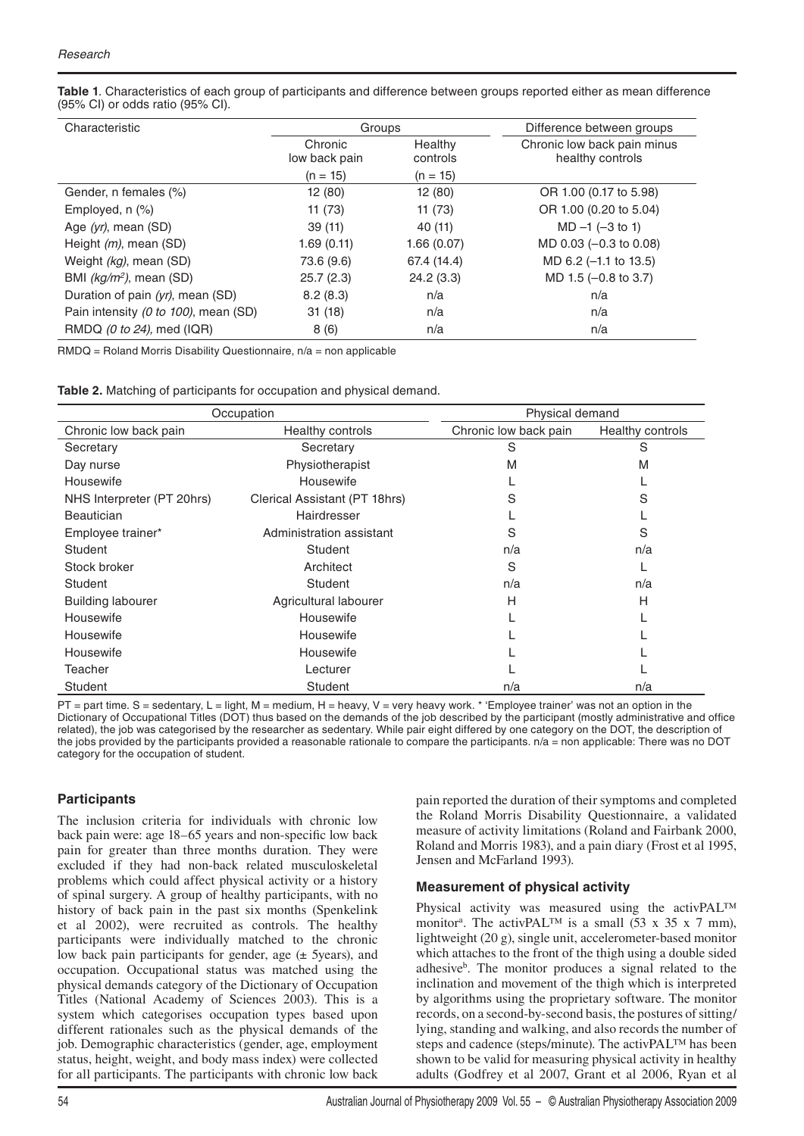**Table 1**. Characteristics of each group of participants and difference between groups reported either as mean difference (95% CI) or odds ratio (95% CI).

| Characteristic                       | Groups                   |                     | Difference between groups                       |
|--------------------------------------|--------------------------|---------------------|-------------------------------------------------|
|                                      | Chronic<br>low back pain | Healthy<br>controls | Chronic low back pain minus<br>healthy controls |
|                                      | $(n = 15)$               | $(n = 15)$          |                                                 |
| Gender, n females (%)                | 12 (80)                  | 12(80)              | OR 1.00 (0.17 to 5.98)                          |
| Employed, $n$ $(\%)$                 | 11(73)                   | 11(73)              | OR 1.00 (0.20 to 5.04)                          |
| Age $(yr)$ , mean $(SD)$             | 39(11)                   | 40(11)              | $MD -1 (-3 to 1)$                               |
| Height $(m)$ , mean $(SD)$           | 1.69(0.11)               | 1.66(0.07)          | MD 0.03 (-0.3 to 0.08)                          |
| Weight (kg), mean (SD)               | 73.6 (9.6)               | 67.4 (14.4)         | MD 6.2 (-1.1 to 13.5)                           |
| BMI $(kg/m^2)$ , mean (SD)           | 25.7(2.3)                | 24.2(3.3)           | $MD 1.5 (-0.8 to 3.7)$                          |
| Duration of pain (yr), mean (SD)     | 8.2(8.3)                 | n/a                 | n/a                                             |
| Pain intensity (0 to 100), mean (SD) | 31(18)                   | n/a                 | n/a                                             |
| RMDQ (0 to 24), med (IQR)            | 8(6)                     | n/a                 | n/a                                             |

 $RMDQ =$  Roland Morris Disability Questionnaire,  $n/a =$  non applicable

| Occupation                 |                               | Physical demand       |                  |  |
|----------------------------|-------------------------------|-----------------------|------------------|--|
| Chronic low back pain      | Healthy controls              | Chronic low back pain | Healthy controls |  |
| Secretary                  | Secretary                     | S                     | S                |  |
| Day nurse                  | Physiotherapist               | М                     | M                |  |
| Housewife                  | Housewife                     |                       |                  |  |
| NHS Interpreter (PT 20hrs) | Clerical Assistant (PT 18hrs) | S                     | S                |  |
| <b>Beautician</b>          | Hairdresser                   |                       |                  |  |
| Employee trainer*          | Administration assistant      | S                     | S                |  |
| Student                    | Student                       | n/a                   | n/a              |  |
| Stock broker               | Architect                     | S                     |                  |  |
| Student                    | Student                       | n/a                   | n/a              |  |
| <b>Building labourer</b>   | Agricultural labourer         | Н                     | Н                |  |
| Housewife                  | Housewife                     |                       |                  |  |
| Housewife                  | Housewife                     |                       |                  |  |
| Housewife                  | Housewife                     |                       |                  |  |
| Teacher                    | Lecturer                      |                       |                  |  |
| Student                    | Student                       | n/a                   | n/a              |  |

 $PT =$  part time. S = sedentary, L = light, M = medium, H = heavy, V = very heavy work. \* 'Employee trainer' was not an option in the Dictionary of Occupational Titles (DOT) thus based on the demands of the job described by the participant (mostly administrative and office related), the job was categorised by the researcher as sedentary. While pair eight differed by one category on the DOT, the description of the jobs provided by the participants provided a reasonable rationale to compare the participants. n/a = non applicable: There was no DOT category for the occupation of student.

#### **Participants**

The inclusion criteria for individuals with chronic low back pain were: age 18–65 years and non-specific low back pain for greater than three months duration. They were excluded if they had non-back related musculoskeletal problems which could affect physical activity or a history of spinal surgery. A group of healthy participants, with no history of back pain in the past six months (Spenkelink et al 2002), were recruited as controls. The healthy participants were individually matched to the chronic low back pain participants for gender, age (± 5years), and occupation. Occupational status was matched using the physical demands category of the Dictionary of Occupation Titles (National Academy of Sciences 2003). This is a system which categorises occupation types based upon different rationales such as the physical demands of the job. Demographic characteristics (gender, age, employment status, height, weight, and body mass index) were collected for all participants. The participants with chronic low back pain reported the duration of their symptoms and completed the Roland Morris Disability Questionnaire, a validated measure of activity limitations (Roland and Fairbank 2000, Roland and Morris 1983), and a pain diary (Frost et al 1995, Jensen and McFarland 1993).

## **Measurement of physical activity**

Physical activity was measured using the activPAL<sup>™</sup> monitor<sup>a</sup>. The activPAL<sup>TM</sup> is a small  $(53 \times 35 \times 7 \text{ mm})$ , lightweight (20 g), single unit, accelerometer-based monitor which attaches to the front of the thigh using a double sided adhesive<sup>b</sup>. The monitor produces a signal related to the inclination and movement of the thigh which is interpreted by algorithms using the proprietary software. The monitor records, on a second-by-second basis, the postures of sitting/ lying, standing and walking, and also records the number of steps and cadence (steps/minute). The activPAL™ has been shown to be valid for measuring physical activity in healthy adults (Godfrey et al 2007, Grant et al 2006, Ryan et al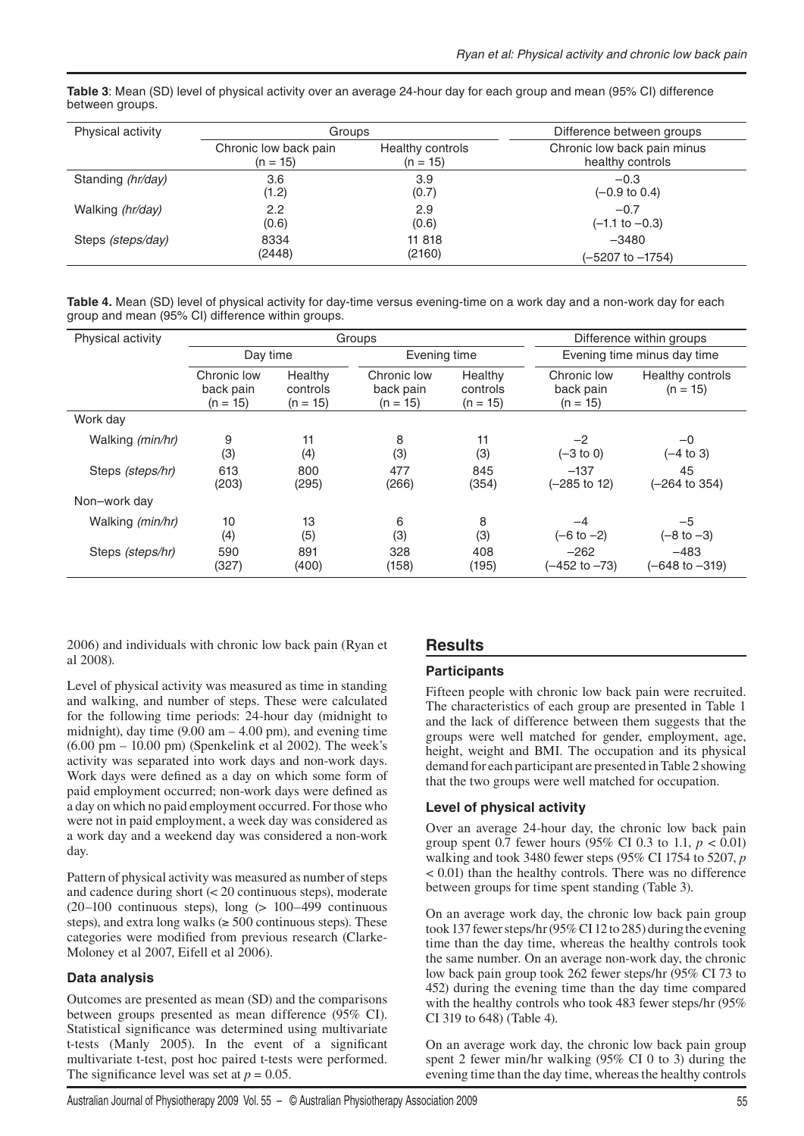| Table 3: Mean (SD) level of physical activity over an average 24-hour day for each group and mean (95% CI) difference |  |  |
|-----------------------------------------------------------------------------------------------------------------------|--|--|
| between groups.                                                                                                       |  |  |

| Physical activity | Groups                |                  | Difference between groups   |
|-------------------|-----------------------|------------------|-----------------------------|
|                   | Chronic low back pain | Healthy controls | Chronic low back pain minus |
|                   | $(n = 15)$            | $(n = 15)$       | healthy controls            |
| Standing (hr/day) | 3.6                   | 3.9              | $-0.3$                      |
|                   | (1.2)                 | (0.7)            | $(-0.9 \text{ to } 0.4)$    |
| Walking (hr/day)  | 2.2                   | 2.9              | $-0.7$                      |
|                   | (0.6)                 | (0.6)            | $(-1.1 \text{ to } -0.3)$   |
| Steps (steps/day) | 8334                  | 11 818           | $-3480$                     |
|                   | (2448)                | (2160)           | (-5207 to -1754)            |

**Table 4.** Mean (SD) level of physical activity for day-time versus evening-time on a work day and a non-work day for each group and mean (95% CI) difference within groups.

| Physical activity         | Groups                                 |                                   |                                        | Difference within groups          |                                        |                                |  |
|---------------------------|----------------------------------------|-----------------------------------|----------------------------------------|-----------------------------------|----------------------------------------|--------------------------------|--|
|                           | Day time                               |                                   |                                        | Evening time                      |                                        | Evening time minus day time    |  |
|                           | Chronic low<br>back pain<br>$(n = 15)$ | Healthy<br>controls<br>$(n = 15)$ | Chronic low<br>back pain<br>$(n = 15)$ | Healthy<br>controls<br>$(n = 15)$ | Chronic low<br>back pain<br>$(n = 15)$ | Healthy controls<br>$(n = 15)$ |  |
| Work day                  |                                        |                                   |                                        |                                   |                                        |                                |  |
| Walking ( <i>min/hr</i> ) | 9<br>(3)                               | 11<br>(4)                         | 8<br>(3)                               | 11<br>(3)                         | $-2$<br>$(-3 \text{ to } 0)$           | $-0$<br>$(-4 \text{ to } 3)$   |  |
| Steps (steps/hr)          | 613<br>(203)                           | 800<br>(295)                      | 477<br>(266)                           | 845<br>(354)                      | $-137$<br>$(-285$ to 12)               | 45<br>(-264 to 354)            |  |
| Non-work day              |                                        |                                   |                                        |                                   |                                        |                                |  |
| Walking ( <i>min/hr</i> ) | 10<br>(4)                              | 13<br>(5)                         | 6<br>(3)                               | 8<br>(3)                          | $-4$<br>$(-6 to -2)$                   | $-5$<br>$(-8 \text{ to } -3)$  |  |
| Steps (steps/hr)          | 590<br>(327)                           | 891<br>(400)                      | 328<br>(158)                           | 408<br>(195)                      | $-262$<br>(–452 to –73)                | $-483$<br>(-648 to -319)       |  |

2006) and individuals with chronic low back pain (Ryan et al 2008).

Level of physical activity was measured as time in standing and walking, and number of steps. These were calculated for the following time periods: 24-hour day (midnight to midnight), day time  $(9.00 \text{ am} - 4.00 \text{ pm})$ , and evening time  $(6.00 \text{ pm} - 10.00 \text{ pm})$  (Spenkelink et al 2002). The week's activity was separated into work days and non-work days. Work days were defined as a day on which some form of paid employment occurred; non-work days were defined as a day on which no paid employment occurred. For those who were not in paid employment, a week day was considered as a work day and a weekend day was considered a non-work day.

Pattern of physical activity was measured as number of steps and cadence during short (< 20 continuous steps), moderate  $(20-100$  continuous steps), long  $(> 100-499$  continuous steps), and extra long walks ( $\geq 500$  continuous steps). These categories were modified from previous research (Clarke-Moloney et al 2007, Eifell et al 2006).

## **Data analysis**

Outcomes are presented as mean (SD) and the comparisons between groups presented as mean difference (95% CI). Statistical significance was determined using multivariate t-tests (Manly 2005). In the event of a significant multivariate t-test, post hoc paired t-tests were performed. The significance level was set at  $p = 0.05$ .

# **Results**

#### **Participants**

Fifteen people with chronic low back pain were recruited. The characteristics of each group are presented in Table 1 and the lack of difference between them suggests that the groups were well matched for gender, employment, age, height, weight and BMI. The occupation and its physical demand for each participant are presented in Table 2 showing that the two groups were well matched for occupation.

## **Level of physical activity**

Over an average 24-hour day, the chronic low back pain group spent 0.7 fewer hours (95% CI 0.3 to 1.1, *p* < 0.01) walking and took 3480 fewer steps (95% CI 1754 to 5207, *p* < 0.01) than the healthy controls. There was no difference between groups for time spent standing (Table 3).

On an average work day, the chronic low back pain group took 137 fewer steps/hr (95% CI 12 to 285) during the evening time than the day time, whereas the healthy controls took the same number. On an average non-work day, the chronic low back pain group took 262 fewer steps/hr (95% CI 73 to 452) during the evening time than the day time compared with the healthy controls who took 483 fewer steps/hr (95% CI 319 to 648) (Table 4).

On an average work day, the chronic low back pain group spent 2 fewer min/hr walking (95% CI 0 to 3) during the evening time than the day time, whereas the healthy controls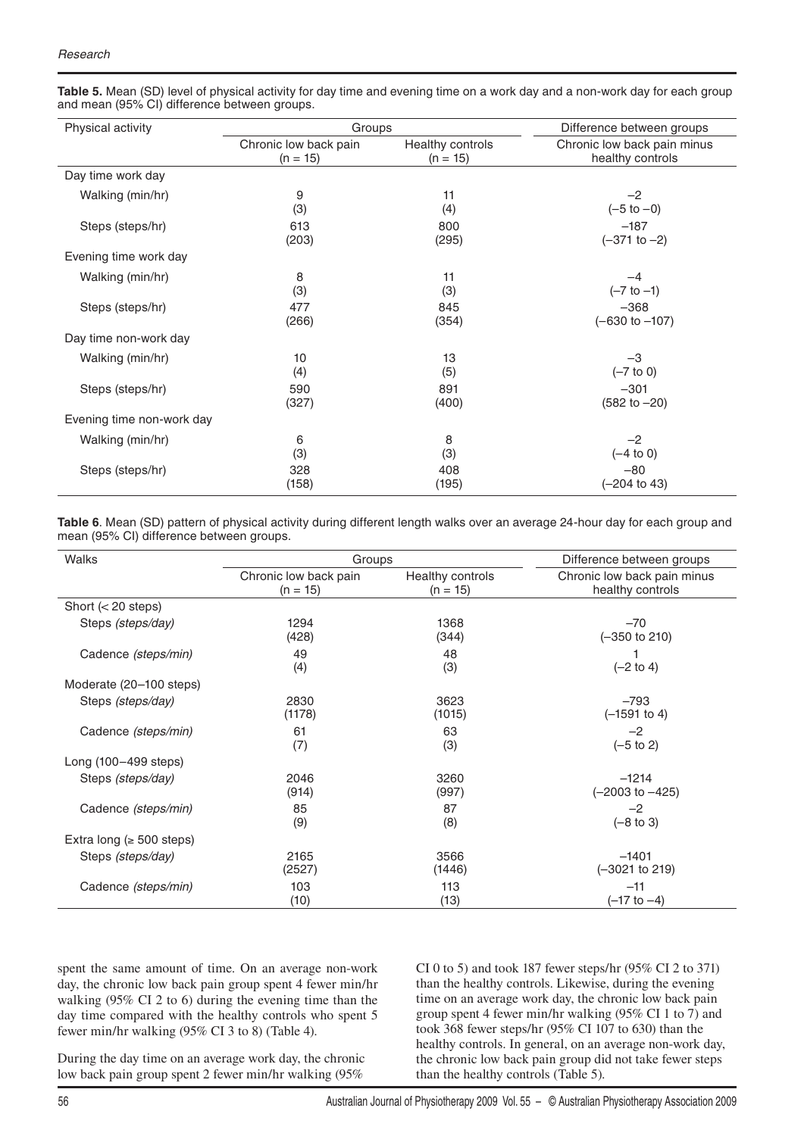| Physical activity         | Groups                |                  | Difference between groups   |
|---------------------------|-----------------------|------------------|-----------------------------|
|                           | Chronic low back pain | Healthy controls | Chronic low back pain minus |
|                           | $(n = 15)$            | $(n = 15)$       | healthy controls            |
| Day time work day         |                       |                  |                             |
| Walking (min/hr)          | 9                     | 11               | $-2$                        |
|                           | (3)                   | (4)              | $(-5 to -0)$                |
| Steps (steps/hr)          | 613                   | 800              | $-187$                      |
|                           | (203)                 | (295)            | $(-371$ to $-2)$            |
| Evening time work day     |                       |                  |                             |
| Walking (min/hr)          | 8                     | 11               | $-4$                        |
|                           | (3)                   | (3)              | $(-7 to -1)$                |
| Steps (steps/hr)          | 477                   | 845              | $-368$                      |
|                           | (266)                 | (354)            | $(-630 to -107)$            |
| Day time non-work day     |                       |                  |                             |
| Walking (min/hr)          | 10                    | 13               | $-3$                        |
|                           | (4)                   | (5)              | $(-7 \text{ to } 0)$        |
| Steps (steps/hr)          | 590                   | 891              | $-301$                      |
|                           | (327)                 | (400)            | $(582 to -20)$              |
| Evening time non-work day |                       |                  |                             |
| Walking (min/hr)          | 6                     | 8                | $-2$                        |
|                           | (3)                   | (3)              | $(-4 to 0)$                 |
| Steps (steps/hr)          | 328                   | 408              | $-80$                       |
|                           | (158)                 | (195)            | $(-204 \text{ to } 43)$     |

**Table 5.** Mean (SD) level of physical activity for day time and evening time on a work day and a non-work day for each group and mean (95% CI) difference between groups.

**Table 6**. Mean (SD) pattern of physical activity during different length walks over an average 24-hour day for each group and mean (95% CI) difference between groups.

| Walks                          | Groups                | Difference between groups |                             |
|--------------------------------|-----------------------|---------------------------|-----------------------------|
|                                | Chronic low back pain | Healthy controls          | Chronic low back pain minus |
|                                | $(n = 15)$            | $(n = 15)$                | healthy controls            |
| Short $(20 steps)$             |                       |                           |                             |
| Steps (steps/day)              | 1294                  | 1368                      | $-70$                       |
|                                | (428)                 | (344)                     | $(-350 \text{ to } 210)$    |
| Cadence (steps/min)            | 49<br>(4)             | 48<br>(3)                 | $(-2 \text{ to } 4)$        |
| Moderate (20–100 steps)        |                       |                           |                             |
| Steps (steps/day)              | 2830                  | 3623                      | $-793$                      |
|                                | (1178)                | (1015)                    | $(-1591$ to 4)              |
| Cadence (steps/min)            | 61                    | 63                        | $-2$                        |
|                                | (7)                   | (3)                       | $(-5 \text{ to } 2)$        |
| Long (100-499 steps)           |                       |                           |                             |
| Steps (steps/day)              | 2046                  | 3260                      | $-1214$                     |
|                                | (914)                 | (997)                     | $(-2003$ to $-425)$         |
| Cadence (steps/min)            | 85                    | 87                        | $-2$                        |
|                                | (9)                   | (8)                       | $(-8 \text{ to } 3)$        |
| Extra long ( $\geq 500$ steps) |                       |                           |                             |
| Steps (steps/day)              | 2165                  | 3566                      | $-1401$                     |
|                                | (2527)                | (1446)                    | $(-3021$ to 219)            |
| Cadence (steps/min)            | 103                   | 113                       | $-11$                       |
|                                | (10)                  | (13)                      | $(-17 to -4)$               |

spent the same amount of time. On an average non-work day, the chronic low back pain group spent 4 fewer min/hr walking (95% CI 2 to 6) during the evening time than the day time compared with the healthy controls who spent 5 fewer min/hr walking (95% CI 3 to 8) (Table 4).

CI 0 to 5) and took 187 fewer steps/hr (95% CI 2 to 371) than the healthy controls. Likewise, during the evening time on an average work day, the chronic low back pain group spent 4 fewer min/hr walking (95% CI 1 to 7) and took 368 fewer steps/hr (95% CI 107 to 630) than the healthy controls. In general, on an average non-work day, the chronic low back pain group did not take fewer steps than the healthy controls (Table 5).

During the day time on an average work day, the chronic low back pain group spent 2 fewer min/hr walking (95%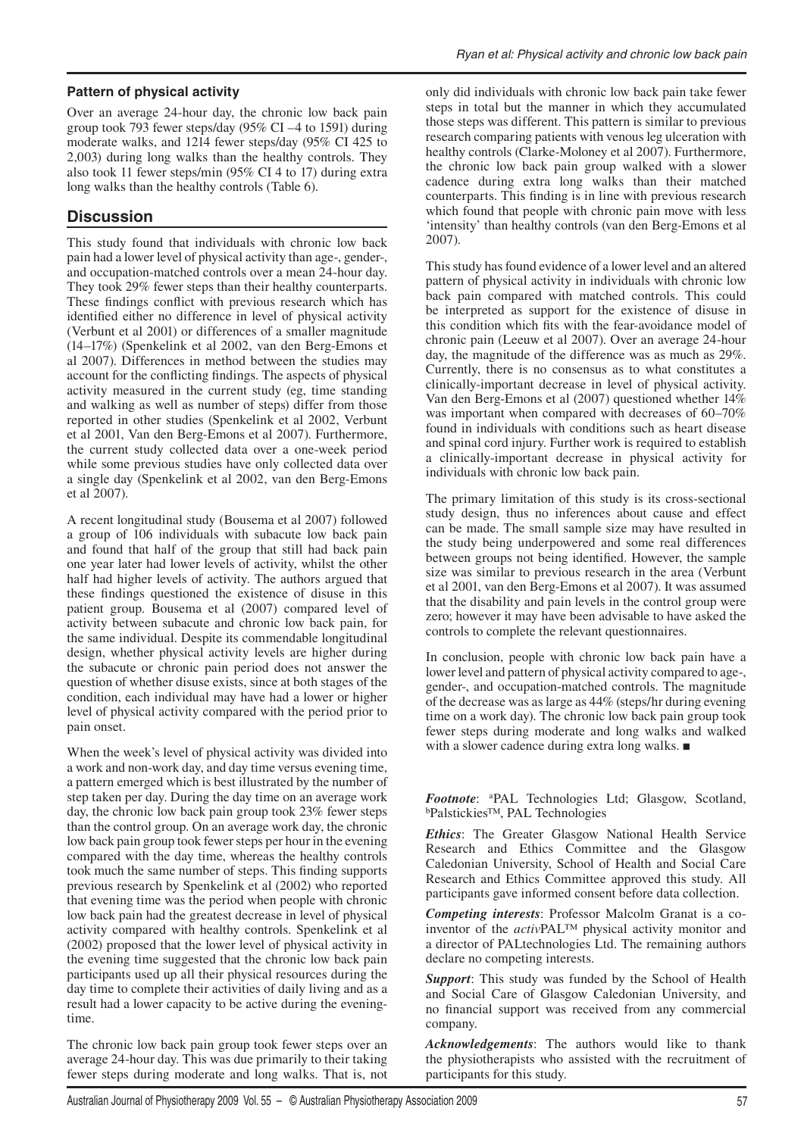#### **Pattern of physical activity**

Over an average 24-hour day, the chronic low back pain group took 793 fewer steps/day (95% CI –4 to 1591) during moderate walks, and 1214 fewer steps/day (95% CI 425 to 2,003) during long walks than the healthy controls. They also took 11 fewer steps/min (95% CI 4 to 17) during extra long walks than the healthy controls (Table 6).

## **Discussion**

This study found that individuals with chronic low back pain had a lower level of physical activity than age-, gender-, and occupation-matched controls over a mean 24-hour day. They took 29% fewer steps than their healthy counterparts. These findings conflict with previous research which has identified either no difference in level of physical activity (Verbunt et al 2001) or differences of a smaller magnitude (14–17%) (Spenkelink et al 2002, van den Berg-Emons et al 2007). Differences in method between the studies may account for the conflicting findings. The aspects of physical activity measured in the current study (eg, time standing and walking as well as number of steps) differ from those reported in other studies (Spenkelink et al 2002, Verbunt et al 2001, Van den Berg-Emons et al 2007). Furthermore, the current study collected data over a one-week period while some previous studies have only collected data over a single day (Spenkelink et al 2002, van den Berg-Emons et al 2007).

A recent longitudinal study (Bousema et al 2007) followed a group of 106 individuals with subacute low back pain and found that half of the group that still had back pain one year later had lower levels of activity, whilst the other half had higher levels of activity. The authors argued that these findings questioned the existence of disuse in this patient group. Bousema et al (2007) compared level of activity between subacute and chronic low back pain, for the same individual. Despite its commendable longitudinal design, whether physical activity levels are higher during the subacute or chronic pain period does not answer the question of whether disuse exists, since at both stages of the condition, each individual may have had a lower or higher level of physical activity compared with the period prior to pain onset.

When the week's level of physical activity was divided into a work and non-work day, and day time versus evening time, a pattern emerged which is best illustrated by the number of step taken per day. During the day time on an average work day, the chronic low back pain group took 23% fewer steps than the control group. On an average work day, the chronic low back pain group took fewer steps per hour in the evening compared with the day time, whereas the healthy controls took much the same number of steps. This finding supports previous research by Spenkelink et al (2002) who reported that evening time was the period when people with chronic low back pain had the greatest decrease in level of physical activity compared with healthy controls. Spenkelink et al (2002) proposed that the lower level of physical activity in the evening time suggested that the chronic low back pain participants used up all their physical resources during the day time to complete their activities of daily living and as a result had a lower capacity to be active during the eveningtime.

The chronic low back pain group took fewer steps over an average 24-hour day. This was due primarily to their taking fewer steps during moderate and long walks. That is, not

only did individuals with chronic low back pain take fewer steps in total but the manner in which they accumulated those steps was different. This pattern is similar to previous research comparing patients with venous leg ulceration with healthy controls (Clarke-Moloney et al 2007). Furthermore, the chronic low back pain group walked with a slower cadence during extra long walks than their matched counterparts. This finding is in line with previous research which found that people with chronic pain move with less 'intensity' than healthy controls (van den Berg-Emons et al 2007).

This study has found evidence of a lower level and an altered pattern of physical activity in individuals with chronic low back pain compared with matched controls. This could be interpreted as support for the existence of disuse in this condition which fits with the fear-avoidance model of chronic pain (Leeuw et al 2007). Over an average 24-hour day, the magnitude of the difference was as much as 29%. Currently, there is no consensus as to what constitutes a clinically-important decrease in level of physical activity. Van den Berg-Emons et al (2007) questioned whether 14% was important when compared with decreases of 60–70% found in individuals with conditions such as heart disease and spinal cord injury. Further work is required to establish a clinically-important decrease in physical activity for individuals with chronic low back pain.

The primary limitation of this study is its cross-sectional study design, thus no inferences about cause and effect can be made. The small sample size may have resulted in the study being underpowered and some real differences between groups not being identified. However, the sample size was similar to previous research in the area (Verbunt et al 2001, van den Berg-Emons et al 2007). It was assumed that the disability and pain levels in the control group were zero; however it may have been advisable to have asked the controls to complete the relevant questionnaires.

In conclusion, people with chronic low back pain have a lower level and pattern of physical activity compared to age-, gender-, and occupation-matched controls. The magnitude of the decrease was as large as 44% (steps/hr during evening time on a work day). The chronic low back pain group took fewer steps during moderate and long walks and walked with a slower cadence during extra long walks.  $\blacksquare$ 

*Footnote*: <sup>a</sup> PAL Technologies Ltd; Glasgow, Scotland, b Palstickies™, PAL Technologies

*Ethics*: The Greater Glasgow National Health Service Research and Ethics Committee and the Glasgow Caledonian University, School of Health and Social Care Research and Ethics Committee approved this study. All participants gave informed consent before data collection.

*Competing interests*: Professor Malcolm Granat is a coinventor of the *activ*PAL™ physical activity monitor and a director of PALtechnologies Ltd. The remaining authors declare no competing interests.

*Support*: This study was funded by the School of Health and Social Care of Glasgow Caledonian University, and no financial support was received from any commercial company.

*Acknowledgements*: The authors would like to thank the physiotherapists who assisted with the recruitment of participants for this study.